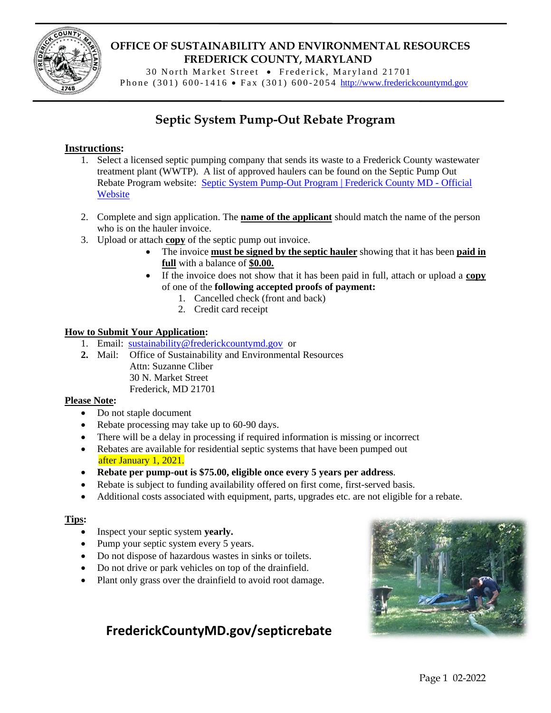

# **OFFICE OF SUSTAINABILITY AND ENVIRONMENTAL RESOURCES FREDERICK COUNTY, MARYLAND**

30 North Market Street • Frederick, Maryland 21701 Phone (301) 600-1416 • Fax (301) 600-2054 [http://www.frederickcountymd.gov](http://www.frederickcountymd.gov/)

# **Septic System Pump-Out Rebate Program**

### **Instructions:**

- 1. Select a licensed septic pumping company that sends its waste to a Frederick County wastewater treatment plant (WWTP). A list of approved haulers can be found on the Septic Pump Out Rebate Program website: [Septic System Pump-Out Program | Frederick County MD -](https://frederickcountymd.gov/7574/Septic-System-Pump-Out) Official **[Website](https://frederickcountymd.gov/7574/Septic-System-Pump-Out)**
- 2. Complete and sign application. The **name of the applicant** should match the name of the person who is on the hauler invoice.
- 3. Upload or attach **copy** of the septic pump out invoice.
	- The invoice **must be signed by the septic hauler** showing that it has been **paid in full** with a balance of **\$0.00.**
	- If the invoice does not show that it has been paid in full, attach or upload a **copy** of one of the **following accepted proofs of payment:**
		- 1. Cancelled check (front and back)
		- 2. Credit card receipt

#### **How to Submit Your Application:**

- 1. Email: [sustainability@frederickcountymd.gov](mailto:sustainability@frederickcountymd.gov) or
- **2.** Mail: Office of Sustainability and Environmental Resources Attn: Suzanne Cliber 30 N. Market Street Frederick, MD 21701

#### **Please Note:**

- Do not staple document
- Rebate processing may take up to 60-90 days.
- There will be a delay in processing if required information is missing or incorrect
- Rebates are available for residential septic systems that have been pumped out after January 1, 2021.
- **Rebate per pump-out is \$75.00, eligible once every 5 years per address**.
- Rebate is subject to funding availability offered on first come, first-served basis.
- Additional costs associated with equipment, parts, upgrades etc. are not eligible for a rebate.

#### **Tips:**

- Inspect your septic system **yearly.**
- Pump your septic system every 5 years.
- Do not dispose of hazardous wastes in sinks or toilets.
- Do not drive or park vehicles on top of the drainfield.
- Plant only grass over the drainfield to avoid root damage.

# **[FrederickCountyMD.gov/septicrebate](http://www.frederickcountymd.gov/septicrebate)**